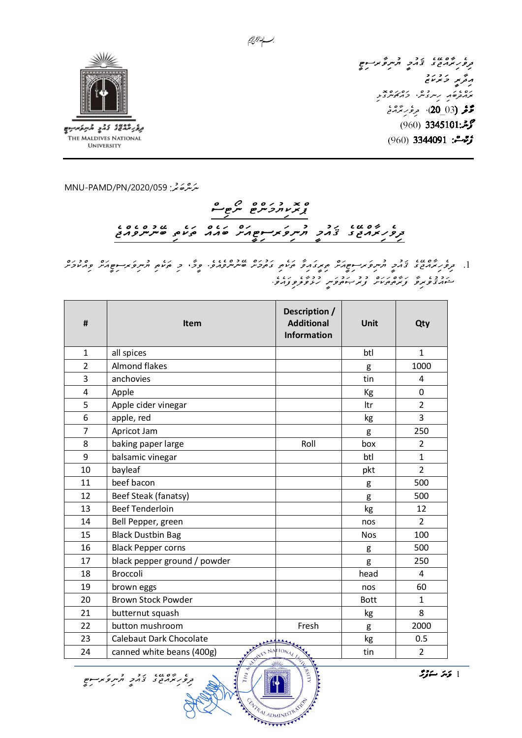

UNIVERSITY

ג שיטגוג בריק<br>בריקא בצאב אייקלאידים<br>בריקא ג<sub>בקא</sub> ביציוב ני ים<br>ניס גם ניתניתי בחובית בת<br>מחברים ניתניתי בחובית دو (03\_20)، م*رغ بر بَرْدْج* حوش: 3345101 (960) ژوهه: 3344091 (960)

MNU-PAMD/PN/2020/059

ג שים גם גבר ברי היית פי ברי היים<br>בקיפו המרובה בי ברי ברי היית פי ברי היים

## 

.1 בקבוע בין המוניק בין המוניק בין המוניק בין המוניק בין כי המוניק בין המוניק בריינים בין בין בריינים.<br>1. בקפיק הביני ב'הקב התקפיק המוניק בין המוניק בין בין המוניק הפין כי המוניק התקפיק המוניק בריינים היו המוכיק ב נכבו ש נשם נום כב נבני בכשו נוגו<br>היווניפונפ צונסים מיני צונייים פיני נועפופיברופי

| #                       | <b>Item</b>                    | Description /<br><b>Additional</b><br><b>Information</b> | <b>Unit</b> | Qty            |
|-------------------------|--------------------------------|----------------------------------------------------------|-------------|----------------|
| $\mathbf{1}$            | all spices                     |                                                          | btl         | $\mathbf{1}$   |
| $\overline{2}$          | Almond flakes                  |                                                          | g           | 1000           |
| 3                       | anchovies                      |                                                          | tin         | 4              |
| $\overline{\mathbf{4}}$ | Apple                          |                                                          | Kg          | $\mathbf 0$    |
| 5                       | Apple cider vinegar            |                                                          | Itr         | $\overline{2}$ |
| 6                       | apple, red                     |                                                          | kg          | 3              |
| $\overline{7}$          | Apricot Jam                    |                                                          | g           | 250            |
| 8                       | baking paper large             | Roll                                                     | box         | $\overline{2}$ |
| 9                       | balsamic vinegar               |                                                          | btl         | $\mathbf{1}$   |
| 10                      | bayleaf                        |                                                          | pkt         | $\overline{2}$ |
| 11                      | beef bacon                     |                                                          | g           | 500            |
| 12                      | Beef Steak (fanatsy)           |                                                          | g           | 500            |
| 13                      | <b>Beef Tenderloin</b>         |                                                          | kg          | 12             |
| 14                      | Bell Pepper, green             |                                                          | nos         | $\overline{2}$ |
| 15                      | <b>Black Dustbin Bag</b>       |                                                          | <b>Nos</b>  | 100            |
| 16                      | <b>Black Pepper corns</b>      |                                                          | g           | 500            |
| 17                      | black pepper ground / powder   |                                                          | g           | 250            |
| 18                      | <b>Broccoli</b>                |                                                          | head        | 4              |
| 19                      | brown eggs                     |                                                          | nos         | 60             |
| 20                      | <b>Brown Stock Powder</b>      |                                                          | <b>Bott</b> | $\mathbf{1}$   |
| 21                      | butternut squash               |                                                          | kg          | 8              |
| 22                      | button mushroom                | Fresh                                                    | g           | 2000           |
| 23                      | <b>Calebaut Dark Chocolate</b> |                                                          | kg          | 0.5            |
| 24                      | canned white beans (400g)      | NES NATIONAL                                             | tin         | $\overline{2}$ |

**Kanald RSIT** 

A TRALADMINISTRATO

1 قەشرىقۇش

بسسا الزمرانجيم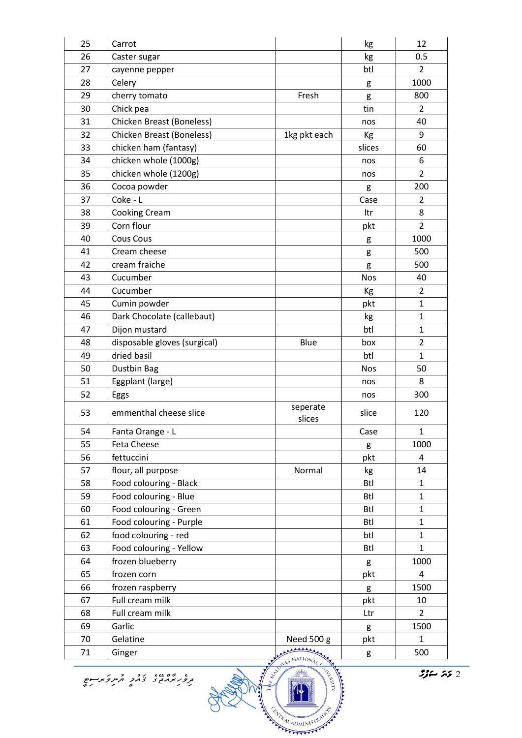| 25                                                                                                                                | Carrot                       |                    | kg         | 12             |
|-----------------------------------------------------------------------------------------------------------------------------------|------------------------------|--------------------|------------|----------------|
| 26                                                                                                                                | Caster sugar                 |                    | kg         | 0.5            |
| 27                                                                                                                                | cayenne pepper               |                    | btl        | $\overline{2}$ |
| 28                                                                                                                                | Celery                       |                    | g          | 1000           |
| 29                                                                                                                                | cherry tomato                | Fresh              | g          | 800            |
| 30                                                                                                                                | Chick pea                    |                    | tin        | $\overline{2}$ |
| 31                                                                                                                                | Chicken Breast (Boneless)    |                    | nos        | 40             |
| 32                                                                                                                                | Chicken Breast (Boneless)    | 1kg pkt each       | Кg         | 9              |
| 33                                                                                                                                | chicken ham (fantasy)        |                    | slices     | 60             |
| 34                                                                                                                                | chicken whole (1000g)        |                    | nos        | 6              |
| 35                                                                                                                                | chicken whole (1200g)        |                    | nos        | $\overline{2}$ |
| 36                                                                                                                                | Cocoa powder                 |                    | g          | 200            |
| 37                                                                                                                                | Coke - L                     |                    | Case       | 2              |
| 38                                                                                                                                | Cooking Cream                |                    | Itr        | 8              |
| 39                                                                                                                                | Corn flour                   |                    |            | $\overline{2}$ |
|                                                                                                                                   |                              |                    | pkt        |                |
| 40                                                                                                                                | <b>Cous Cous</b>             |                    | g          | 1000           |
| 41                                                                                                                                | Cream cheese                 |                    | g          | 500            |
| 42                                                                                                                                | cream fraiche                |                    | g          | 500            |
| 43                                                                                                                                | Cucumber                     |                    | <b>Nos</b> | 40             |
| 44                                                                                                                                | Cucumber                     |                    | Кg         | $\overline{2}$ |
| 45                                                                                                                                | Cumin powder                 |                    | pkt        | $\mathbf{1}$   |
| 46                                                                                                                                | Dark Chocolate (callebaut)   |                    | kg         | $\mathbf{1}$   |
| 47                                                                                                                                | Dijon mustard                |                    | btl        | $\mathbf{1}$   |
| 48                                                                                                                                | disposable gloves (surgical) | Blue               | box        | $\overline{2}$ |
| 49                                                                                                                                | dried basil                  |                    | btl        | $\mathbf{1}$   |
| 50                                                                                                                                | Dustbin Bag                  |                    | <b>Nos</b> | 50             |
| 51                                                                                                                                | Eggplant (large)             |                    | nos        | 8              |
| 52                                                                                                                                | Eggs                         |                    | nos        | 300            |
| 53                                                                                                                                | emmenthal cheese slice       | seperate<br>slices | slice      | 120            |
| 54                                                                                                                                | Fanta Orange - L             |                    | Case       | 1              |
| 55                                                                                                                                | Feta Cheese                  |                    | g          | 1000           |
| 56                                                                                                                                | fettuccini                   |                    | pkt        | 4              |
| 57                                                                                                                                | flour, all purpose           | Normal             | kg         | 14             |
| 58                                                                                                                                | Food colouring - Black       |                    | <b>Btl</b> | $\mathbf{1}$   |
| 59                                                                                                                                | Food colouring - Blue        |                    | <b>Btl</b> | $\mathbf{1}$   |
| 60                                                                                                                                | Food colouring - Green       |                    | <b>Btl</b> | $\mathbf{1}$   |
| 61                                                                                                                                | Food colouring - Purple      |                    | <b>Btl</b> | $\mathbf{1}$   |
| 62                                                                                                                                | food colouring - red         |                    | btl        | $\mathbf{1}$   |
| 63                                                                                                                                | Food colouring - Yellow      |                    | <b>Btl</b> | $\mathbf{1}$   |
| 64                                                                                                                                | frozen blueberry             |                    | g          | 1000           |
| 65                                                                                                                                | frozen corn                  |                    | pkt        | 4              |
| 66                                                                                                                                | frozen raspberry             |                    | g          | 1500           |
| 67                                                                                                                                | Full cream milk              |                    | pkt        | 10             |
| 68                                                                                                                                | Full cream milk              |                    | Ltr        | $\overline{2}$ |
| 69                                                                                                                                | Garlic                       |                    | g          | 1500           |
| 70                                                                                                                                | Gelatine                     | Need 500 g         | pkt        | $\mathbf{1}$   |
| 71                                                                                                                                | Ginger                       |                    | g          | 500            |
| WE AND MEST<br><b>HANTI</b> TALIA<br>نیز ستوثر<br>، ۵۵،۰۰ رود ورمز کرده.<br>ترور پرمایی نخامز افزیر کرد در<br>EVIRAL ADMINISTRATO |                              |                    |            |                |
|                                                                                                                                   |                              |                    |            |                |

 $22 - 52$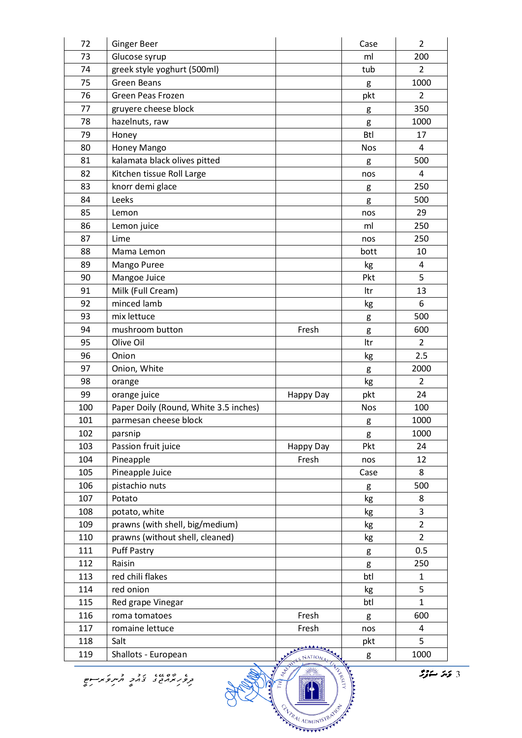| 72                                                                                                                                              | <b>Ginger Beer</b>                    |           | Case       | $\overline{2}$ |
|-------------------------------------------------------------------------------------------------------------------------------------------------|---------------------------------------|-----------|------------|----------------|
| 73                                                                                                                                              | Glucose syrup                         |           | ml         | 200            |
| 74                                                                                                                                              | greek style yoghurt (500ml)           |           | tub        | $\overline{2}$ |
| 75                                                                                                                                              | <b>Green Beans</b>                    |           | g          | 1000           |
| 76                                                                                                                                              | Green Peas Frozen                     |           | pkt        | 2              |
| 77                                                                                                                                              | gruyere cheese block                  |           | g          | 350            |
| 78                                                                                                                                              | hazelnuts, raw                        |           | g          | 1000           |
| 79                                                                                                                                              | Honey                                 |           | <b>Btl</b> | 17             |
| 80                                                                                                                                              | Honey Mango                           |           | <b>Nos</b> | 4              |
| 81                                                                                                                                              | kalamata black olives pitted          |           | g          | 500            |
| 82                                                                                                                                              | Kitchen tissue Roll Large             |           | nos        | 4              |
| 83                                                                                                                                              | knorr demi glace                      |           | g          | 250            |
| 84                                                                                                                                              | Leeks                                 |           | g          | 500            |
| 85                                                                                                                                              | Lemon                                 |           | nos        | 29             |
| 86                                                                                                                                              | Lemon juice                           |           | ml         | 250            |
| 87                                                                                                                                              | Lime                                  |           | nos        | 250            |
| 88                                                                                                                                              | Mama Lemon                            |           | bott       | 10             |
| 89                                                                                                                                              | Mango Puree                           |           |            | 4              |
| 90                                                                                                                                              |                                       |           | kg<br>Pkt  | 5              |
|                                                                                                                                                 | Mangoe Juice                          |           |            |                |
| 91                                                                                                                                              | Milk (Full Cream)<br>minced lamb      |           | ltr        | 13             |
| 92                                                                                                                                              |                                       |           | kg         | 6              |
| 93                                                                                                                                              | mix lettuce                           |           | g          | 500            |
| 94                                                                                                                                              | mushroom button                       | Fresh     | g          | 600            |
| 95                                                                                                                                              | Olive Oil                             |           | ltr        | 2              |
| 96                                                                                                                                              | Onion                                 |           | kg         | 2.5            |
| 97                                                                                                                                              | Onion, White                          |           | g          | 2000           |
| 98                                                                                                                                              | orange                                |           | kg         | $\overline{2}$ |
| 99                                                                                                                                              | orange juice                          | Happy Day | pkt        | 24             |
| 100                                                                                                                                             | Paper Doily (Round, White 3.5 inches) |           | <b>Nos</b> | 100            |
| 101                                                                                                                                             | parmesan cheese block                 |           | g          | 1000           |
| 102                                                                                                                                             | parsnip                               |           | g          | 1000           |
| 103                                                                                                                                             | Passion fruit juice                   | Happy Day | Pkt        | 24             |
| 104                                                                                                                                             | Pineapple                             | Fresh     | nos        | 12             |
| 105                                                                                                                                             | Pineapple Juice                       |           | Case       | 8              |
| 106                                                                                                                                             | pistachio nuts                        |           | g          | 500            |
| 107                                                                                                                                             | Potato                                |           | kg         | 8              |
| 108                                                                                                                                             | potato, white                         |           | kg         | 3              |
| 109                                                                                                                                             | prawns (with shell, big/medium)       |           | kg         | $\overline{2}$ |
| 110                                                                                                                                             | prawns (without shell, cleaned)       |           | kg         | $\overline{2}$ |
| 111                                                                                                                                             | <b>Puff Pastry</b>                    |           | g          | 0.5            |
| 112                                                                                                                                             | Raisin                                |           | g          | 250            |
| 113                                                                                                                                             | red chili flakes                      |           | btl        | $\mathbf{1}$   |
| 114                                                                                                                                             | red onion                             |           | kg         | 5              |
| 115                                                                                                                                             | Red grape Vinegar                     |           | btl        | $\mathbf{1}$   |
| 116                                                                                                                                             | roma tomatoes                         | Fresh     | g          | 600            |
| 117                                                                                                                                             | romaine lettuce                       | Fresh     | nos        | 4              |
| 118                                                                                                                                             | Salt                                  |           | pkt        | 5              |
| 119                                                                                                                                             | Shallots - European                   |           | g          | 1000           |
| ALISANT<br>ن <i>یز ستوثر</i><br>ه به ۱۷۵۵ در در در در سوم<br>دروز پرمربع ی دمرد از سر و پرسوم<br>Į<br>PATRAL ADMINISTRATION<br>- ADMINISTRATIVE |                                       |           |            |                |

ו יים שו ייבר בית קייני וביים<br>בקיפו מנוש בי ביריב ולייקי פיים וביים<br>קיפו מ

 $\begin{array}{|c|c|}\hline \textbf{3} & \textbf{3} & \textbf{3} & \textbf{3} & \textbf{3} & \textbf{3} & \textbf{3} & \textbf{3} & \textbf{3} & \textbf{3} & \textbf{3} & \textbf{3} & \textbf{3} & \textbf{3} & \textbf{3} & \textbf{3} & \textbf{3} & \textbf{3} & \textbf{3} & \textbf{3} & \textbf{3} & \textbf{3} & \textbf{3} & \textbf{3} & \textbf{3} & \textbf{3} & \textbf{3} & \textbf{3} & \textbf{3} & \textbf{$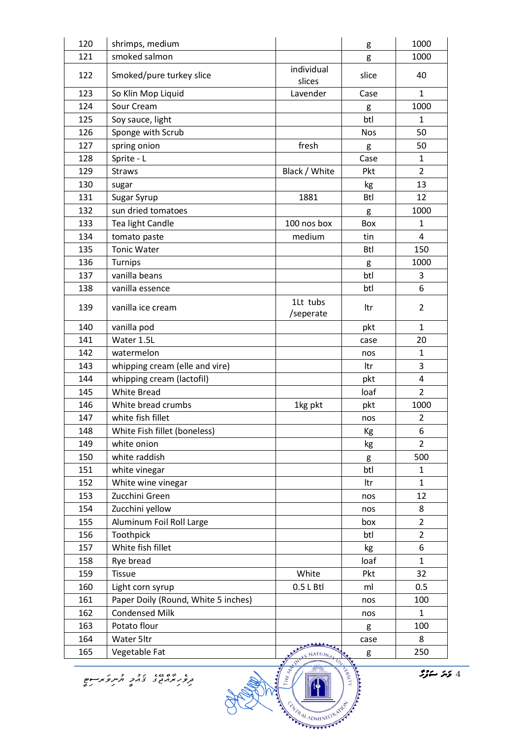| 120 | shrimps, medium                     |                       | g          | 1000           |
|-----|-------------------------------------|-----------------------|------------|----------------|
| 121 | smoked salmon                       |                       | g          | 1000           |
| 122 | Smoked/pure turkey slice            | individual<br>slices  | slice      | 40             |
| 123 | So Klin Mop Liquid                  | Lavender              | Case       | $\mathbf{1}$   |
| 124 | Sour Cream                          |                       | g          | 1000           |
| 125 | Soy sauce, light                    |                       | btl        | $\mathbf{1}$   |
| 126 | Sponge with Scrub                   |                       | <b>Nos</b> | 50             |
| 127 | spring onion                        | fresh                 | g          | 50             |
| 128 | Sprite - L                          |                       | Case       | $\mathbf{1}$   |
| 129 | <b>Straws</b>                       | Black / White         | Pkt        | $\overline{2}$ |
| 130 | sugar                               |                       | kg         | 13             |
| 131 | Sugar Syrup                         | 1881                  | <b>Btl</b> | 12             |
| 132 | sun dried tomatoes                  |                       | g          | 1000           |
| 133 | Tea light Candle                    | 100 nos box           | Box        | $\mathbf{1}$   |
| 134 | tomato paste                        | medium                | tin        | 4              |
| 135 | <b>Tonic Water</b>                  |                       | <b>Btl</b> | 150            |
| 136 | Turnips                             |                       | g          | 1000           |
| 137 | vanilla beans                       |                       | btl        | 3              |
| 138 | vanilla essence                     |                       | btl        | 6              |
| 139 | vanilla ice cream                   | 1Lt tubs<br>/seperate | ltr        | $\overline{2}$ |
| 140 | vanilla pod                         |                       | pkt        | $\mathbf{1}$   |
| 141 | Water 1.5L                          |                       | case       | 20             |
| 142 | watermelon                          |                       | nos        | $\mathbf{1}$   |
| 143 | whipping cream (elle and vire)      |                       | ltr        | 3              |
| 144 | whipping cream (lactofil)           |                       | pkt        | 4              |
| 145 | <b>White Bread</b>                  |                       | loaf       | $\overline{2}$ |
| 146 | White bread crumbs                  | 1kg pkt               | pkt        | 1000           |
| 147 | white fish fillet                   |                       | nos        | $\overline{2}$ |
| 148 | White Fish fillet (boneless)        |                       | Кg         | 6              |
| 149 | white onion                         |                       | kg         | $\overline{2}$ |
| 150 | white raddish                       |                       | g          | 500            |
| 151 | white vinegar                       |                       | btl        | $\mathbf{1}$   |
| 152 | White wine vinegar                  |                       | ltr        | $\mathbf{1}$   |
| 153 | Zucchini Green                      |                       | nos        | 12             |
| 154 | Zucchini yellow                     |                       | nos        | 8              |
| 155 | Aluminum Foil Roll Large            |                       | box        | $\overline{2}$ |
| 156 | Toothpick                           |                       | btl        | $\overline{2}$ |
| 157 | White fish fillet                   |                       | kg         | 6              |
| 158 | Rye bread                           |                       | loaf       | $\mathbf{1}$   |
| 159 | <b>Tissue</b>                       | White                 | Pkt        | 32             |
| 160 | Light corn syrup                    | $0.5 L$ Btl           | ml         | 0.5            |
| 161 | Paper Doily (Round, White 5 inches) |                       | nos        | 100            |
| 162 | <b>Condensed Milk</b>               |                       | nos        | $\mathbf{1}$   |
| 163 | Potato flour                        |                       | g          | 100            |
| 164 | Water 5ltr                          |                       | case       | 8              |
| 165 | Vegetable Fat                       | RES NATIONAL          | g          | 250            |

ם שים שם באתר התות פות הם<br>תקפקות השים באתר התות פות הם



 $\begin{array}{|c|c|c|}\hline \textbf{1} & \textbf{1} & \textbf{1} & \textbf{1} & \textbf{1} & \textbf{1} & \textbf{1} & \textbf{1} & \textbf{1} & \textbf{1} & \textbf{1} & \textbf{1} & \textbf{1} & \textbf{1} & \textbf{1} & \textbf{1} & \textbf{1} & \textbf{1} & \textbf{1} & \textbf{1} & \textbf{1} & \textbf{1} & \textbf{1} & \textbf{1} & \textbf{1} & \textbf{1} & \textbf{1} & \textbf{1} & \textbf{1} & \text$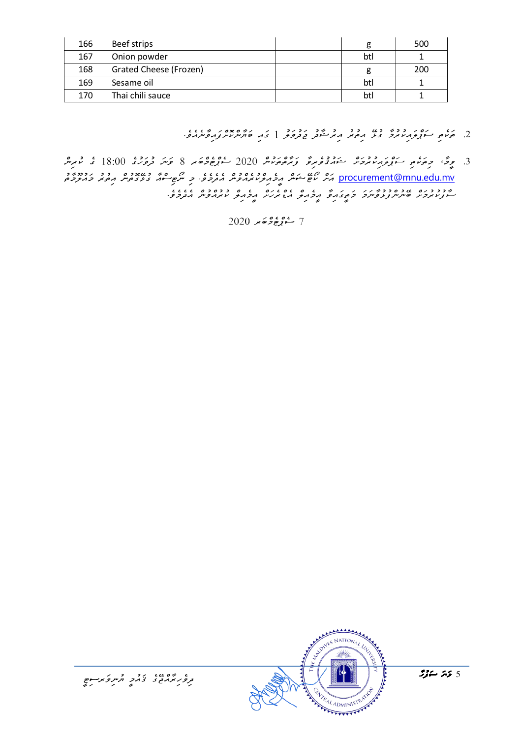| 166 | Beef strips            |     | 500 |
|-----|------------------------|-----|-----|
| 167 | Onion powder           | btl |     |
| 168 | Grated Cheese (Frozen) |     | 200 |
| 169 | Sesame oil             | btl |     |
| 170 | Thai chili sauce       | btl |     |

- $\frac{2}{3}$ . 2010 1000 1000 10000 10000 10000 10000 100000 100000 100000 10000 10000 10000 10000 10000 10000 10000 10000 10000 1000 1000 1000 1000 1000 1000 1000 1000 1000 1000 1000 1000 1000 1000 1000 1000 1000 1000 1000 1
- 3. دقر، دپرېده د دوره د دوره د دوره د دې د ده دوه 2020 و.<br>3. د گرېم د موکور د دوره د موړي و د دې د د د و د د د د و حامد 8 کامل و د د د ا procurement@mnu.edu.mv

2020 كەن بۇ مۇھىر 2020